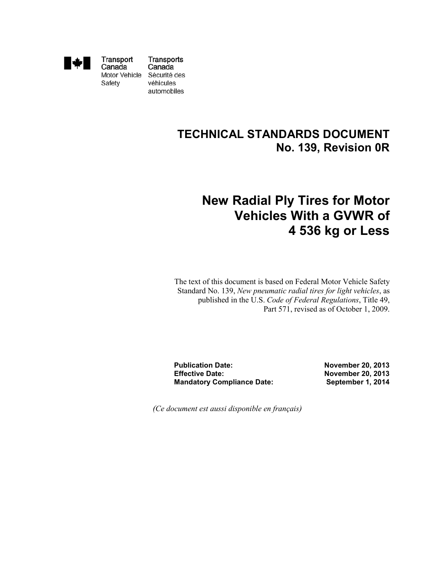

Transport Canada Motor Vehicle Safety

Transports Canada Sécurité des véhicules automobiles

## **TECHNICAL STANDARDS DOCUMENT No. 139, Revision 0R**

# **New Radial Ply Tires for Motor Vehicles With a GVWR of 4 536 kg or Less**

The text of this document is based on Federal Motor Vehicle Safety Standard No. 139, *New pneumatic radial tires for light vehicles*, as published in the U.S. *Code of Federal Regulations*, Title 49, Part 571, revised as of October 1, 2009.

**Publication Date: Effective Date: Mandatory Compliance Date:** **November 20, 2013 November 20, 2013 September 1, 2014**

*(Ce document est aussi disponible en français)*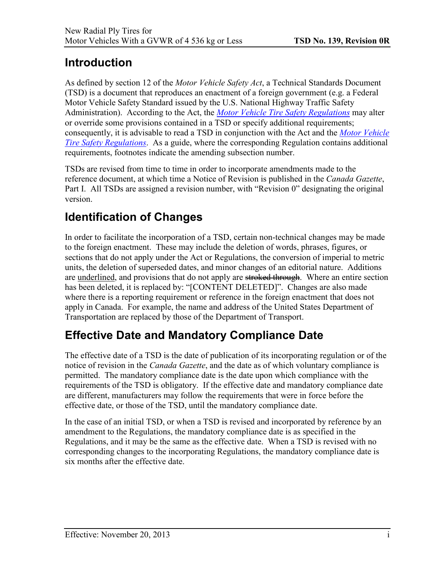# <span id="page-1-0"></span>**Introduction**

As defined by section 12 of the *Motor Vehicle Safety Act*, a Technical Standards Document (TSD) is a document that reproduces an enactment of a foreign government (e.g. a Federal Motor Vehicle Safety Standard issued by the U.S. National Highway Traffic Safety Administration). According to the Act, the *[Motor Vehicle Tire Safety Regulations](http://laws.justice.gc.ca/eng/regulations/SOR-2013-198/)* may alter or override some provisions contained in a TSD or specify additional requirements; consequently, it is advisable to read a TSD in conjunction with the Act and the *[Motor Vehicle](http://laws.justice.gc.ca/eng/regulations/SOR-2013-198/)  [Tire Safety Regulations](http://laws.justice.gc.ca/eng/regulations/SOR-2013-198/)*. As a guide, where the corresponding Regulation contains additional requirements, footnotes indicate the amending subsection number.

TSDs are revised from time to time in order to incorporate amendments made to the reference document, at which time a Notice of Revision is published in the *Canada Gazette*, Part I. All TSDs are assigned a revision number, with "Revision 0" designating the original version.

# **Identification of Changes**

In order to facilitate the incorporation of a TSD, certain non-technical changes may be made to the foreign enactment. These may include the deletion of words, phrases, figures, or sections that do not apply under the Act or Regulations, the conversion of imperial to metric units, the deletion of superseded dates, and minor changes of an editorial nature. Additions are underlined, and provisions that do not apply are stroked through. Where an entire section has been deleted, it is replaced by: "[CONTENT DELETED]". Changes are also made where there is a reporting requirement or reference in the foreign enactment that does not apply in Canada. For example, the name and address of the United States Department of Transportation are replaced by those of the Department of Transport.

# **Effective Date and Mandatory Compliance Date**

The effective date of a TSD is the date of publication of its incorporating regulation or of the notice of revision in the *Canada Gazette*, and the date as of which voluntary compliance is permitted. The mandatory compliance date is the date upon which compliance with the requirements of the TSD is obligatory. If the effective date and mandatory compliance date are different, manufacturers may follow the requirements that were in force before the effective date, or those of the TSD, until the mandatory compliance date.

In the case of an initial TSD, or when a TSD is revised and incorporated by reference by an amendment to the Regulations, the mandatory compliance date is as specified in the Regulations, and it may be the same as the effective date. When a TSD is revised with no corresponding changes to the incorporating Regulations, the mandatory compliance date is six months after the effective date.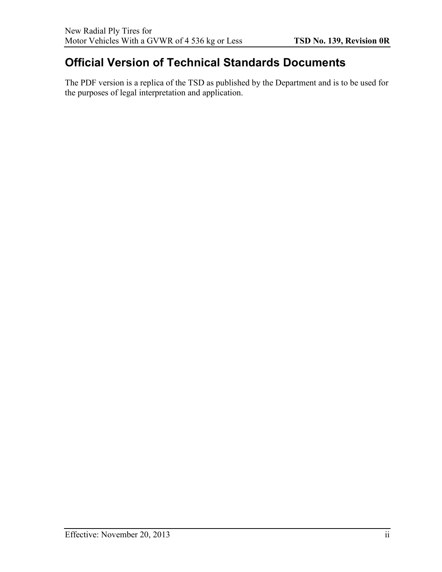# **Official Version of Technical Standards Documents**

The PDF version is a replica of the TSD as published by the Department and is to be used for the purposes of legal interpretation and application.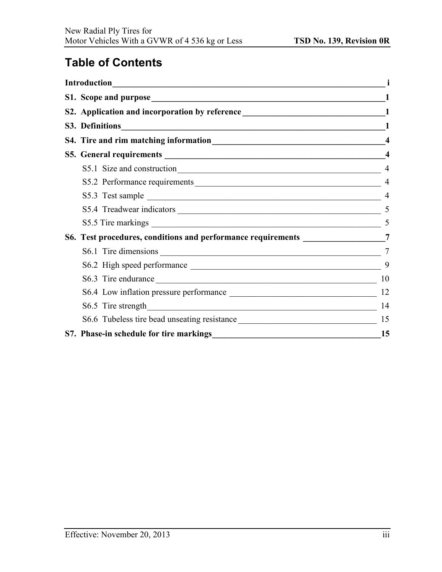# **Table of Contents**

| S2. Application and incorporation by reference __________________________________1                                                                                                                                                            |                  |
|-----------------------------------------------------------------------------------------------------------------------------------------------------------------------------------------------------------------------------------------------|------------------|
|                                                                                                                                                                                                                                               |                  |
|                                                                                                                                                                                                                                               | $\overline{4}$   |
|                                                                                                                                                                                                                                               | $\boldsymbol{4}$ |
|                                                                                                                                                                                                                                               | $\overline{4}$   |
| S5.2 Performance requirements                                                                                                                                                                                                                 | $\overline{4}$   |
| S5.3 Test sample                                                                                                                                                                                                                              |                  |
|                                                                                                                                                                                                                                               |                  |
|                                                                                                                                                                                                                                               |                  |
| S6. Test procedures, conditions and performance requirements ________________7                                                                                                                                                                |                  |
|                                                                                                                                                                                                                                               | 7                |
|                                                                                                                                                                                                                                               | 9                |
|                                                                                                                                                                                                                                               | 10               |
| S6.4 Low inflation pressure performance                                                                                                                                                                                                       | 12               |
|                                                                                                                                                                                                                                               | 14               |
| S6.6 Tubeless tire bead unseating resistance ___________________________________                                                                                                                                                              | 15               |
| S7. Phase-in schedule for tire markings<br><u>S7.</u> Phase-in schedule for tire markings<br>S7. Phase-in schedule for tire markings<br>S2. Phase-in schedule for tire markings<br>S2. Phase-in schedule for tire markings<br>S2. Phase-in sc | 15               |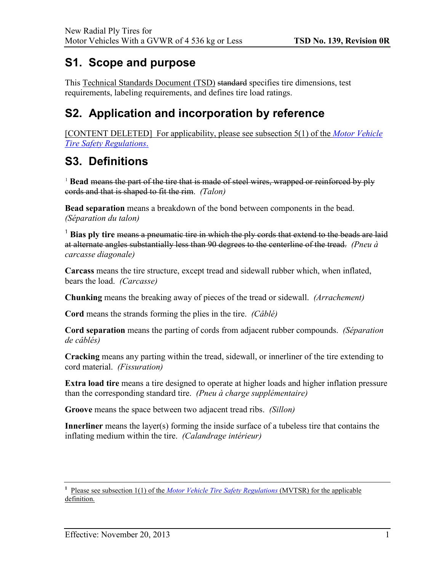# <span id="page-4-0"></span>**S1. Scope and purpose**

This Technical Standards Document (TSD) standard specifies tire dimensions, test requirements, labeling requirements, and defines tire load ratings.

# <span id="page-4-1"></span>**S2. Application and incorporation by reference**

[CONTENT DELETED] For applicability, please see subsection 5(1) of the *[Motor Vehicle](http://laws.justice.gc.ca/eng/regulations/SOR-2013-198/)  [Tire Safety Regulations](http://laws.justice.gc.ca/eng/regulations/SOR-2013-198/)*.

## <span id="page-4-2"></span>**S3. Definitions**

[1](#page-4-3) **Bead** means the part of the tire that is made of steel wires, wrapped or reinforced by ply cords and that is shaped to fit the rim. *(Talon)* 

**Bead separation** means a breakdown of the bond between components in the bead. *(Séparation du talon)* 

<sup>1</sup> Bias ply tire means a pneumatic tire in which the ply cords that extend to the beads are laid at alternate angles substantially less than 90 degrees to the centerline of the tread. *(Pneu à carcasse diagonale)* 

**Carcass** means the tire structure, except tread and sidewall rubber which, when inflated, bears the load. *(Carcasse)* 

**Chunking** means the breaking away of pieces of the tread or sidewall. *(Arrachement)* 

**Cord** means the strands forming the plies in the tire. *(Câblé)* 

**Cord separation** means the parting of cords from adjacent rubber compounds. *(Séparation de câblés)* 

**Cracking** means any parting within the tread, sidewall, or innerliner of the tire extending to cord material. *(Fissuration)* 

**Extra load tire** means a tire designed to operate at higher loads and higher inflation pressure than the corresponding standard tire. *(Pneu à charge supplémentaire)* 

**Groove** means the space between two adjacent tread ribs. *(Sillon)*

**Innerliner** means the layer(s) forming the inside surface of a tubeless tire that contains the inflating medium within the tire. *(Calandrage intérieur)* 

<span id="page-4-3"></span><sup>&</sup>lt;sup>1</sup> Please see subsection 1(1) of the *[Motor Vehicle Tire Safety Regulations](http://laws.justice.gc.ca/eng/regulations/SOR-2013-198/)* (MVTSR) for the applicable definition.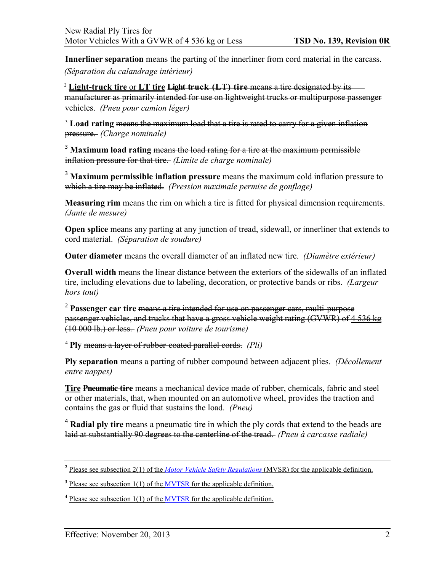**Innerliner separation** means the parting of the innerliner from cord material in the carcass.

*(Séparation du calandrage intérieur)*

[2](#page-5-0) **Light-truck tire** or **LT tire Light truck (LT) tire** means a tire designated by its manufacturer as primarily intended for use on lightweight trucks or multipurpose passenger vehicles. *(Pneu pour camion léger)*

<sup>[3](#page-5-1)</sup> Load rating means the maximum load that a tire is rated to carry for a given inflation pressure. *(Charge nominale)* 

<sup>3</sup> **Maximum load rating** means the load rating for a tire at the maximum permissible inflation pressure for that tire. *(Limite de charge nominale)* 

<sup>3</sup> **Maximum permissible inflation pressure** means the maximum cold inflation pressure to which a tire may be inflated. *(Pression maximale permise de gonflage)* 

**Measuring rim** means the rim on which a tire is fitted for physical dimension requirements. *(Jante de mesure)*

**Open splice** means any parting at any junction of tread, sidewall, or innerliner that extends to cord material. *(Séparation de soudure)* 

**Outer diameter** means the overall diameter of an inflated new tire. *(Diamètre extérieur)*

**Overall width** means the linear distance between the exteriors of the sidewalls of an inflated tire, including elevations due to labeling, decoration, or protective bands or ribs. *(Largeur hors tout)* 

<sup>2</sup> **Passenger car tire** means a tire intended for use on passenger cars, multi-purpose passenger vehicles, and trucks that have a gross vehicle weight rating (GVWR) of 4 536 kg (10 000 lb.) or less. *(Pneu pour voiture de tourisme)* 

[4](#page-5-2) **Ply** means a layer of rubber-coated parallel cords. *(Pli)* 

**Ply separation** means a parting of rubber compound between adjacent plies. *(Décollement entre nappes)* 

**Tire Pneumatic tire** means a mechanical device made of rubber, chemicals, fabric and steel or other materials, that, when mounted on an automotive wheel, provides the traction and contains the gas or fluid that sustains the load. *(Pneu)* 

<sup>4</sup> **Radial ply tire** means a pneumatic tire in which the ply cords that extend to the beads are laid at substantially 90 degrees to the centerline of the tread. *(Pneu à carcasse radiale)* 

<span id="page-5-0"></span>**<sup>2</sup>** Please see subsection 2(1) of the *[Motor Vehicle Safety Regulations](http://laws-lois.justice.gc.ca/eng/regulations/C.R.C.,_c._1038/)* (MVSR) for the applicable definition.

<span id="page-5-1"></span><sup>&</sup>lt;sup>3</sup> Please see subsection 1(1) of the [MVTSR](http://laws.justice.gc.ca/eng/regulations/SOR-2013-198/) for the applicable definition.

<span id="page-5-2"></span>**<sup>4</sup>** Please see subsection 1(1) of the [MVTSR](http://laws.justice.gc.ca/eng/regulations/SOR-2013-198/) for the applicable definition.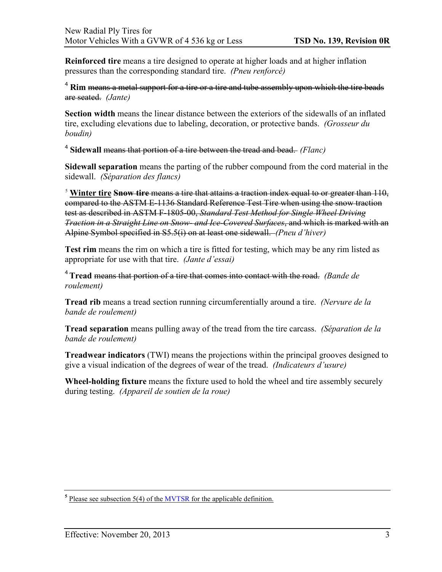**Reinforced tire** means a tire designed to operate at higher loads and at higher inflation pressures than the corresponding standard tire. *(Pneu renforcé)*

<sup>4</sup> Rim <del>means a metal support for a tire or a tire and tube assembly upon which the tire beads</del> are seated. *(Jante)* 

**Section width** means the linear distance between the exteriors of the sidewalls of an inflated tire, excluding elevations due to labeling, decoration, or protective bands. *(Grosseur du boudin)* 

<sup>4</sup> **Sidewall** means that portion of a tire between the tread and bead. *(Flanc)* 

**Sidewall separation** means the parting of the rubber compound from the cord material in the sidewall. *(Séparation des flancs)* 

<sup>[5](#page-6-0)</sup> Winter tire Snow tire means a tire that attains a traction index equal to or greater than 110, compared to the ASTM E-1136 Standard Reference Test Tire when using the snow traction test as described in ASTM F-1805-00, *Standard Test Method for Single Wheel Driving Traction in a Straight Line on Snow- and Ice-Covered Surfaces*, and which is marked with an Alpine Symbol specified in S5.5(i) on at least one sidewall. *(Pneu d'hiver)*

**Test rim** means the rim on which a tire is fitted for testing, which may be any rim listed as appropriate for use with that tire. *(Jante d'essai)* 

<sup>4</sup>**Tread** means that portion of a tire that comes into contact with the road. *(Bande de roulement)*

**Tread rib** means a tread section running circumferentially around a tire. *(Nervure de la bande de roulement)* 

**Tread separation** means pulling away of the tread from the tire carcass. *(Séparation de la bande de roulement)* 

**Treadwear indicators** (TWI) means the projections within the principal grooves designed to give a visual indication of the degrees of wear of the tread. *(Indicateurs d'usure)*

**Wheel-holding fixture** means the fixture used to hold the wheel and tire assembly securely during testing. *(Appareil de soutien de la roue)* 

<span id="page-6-0"></span>**<sup>5</sup>** Please see subsection 5(4) of the [MVTSR](http://laws.justice.gc.ca/eng/regulations/SOR-2013-198/) for the applicable definition.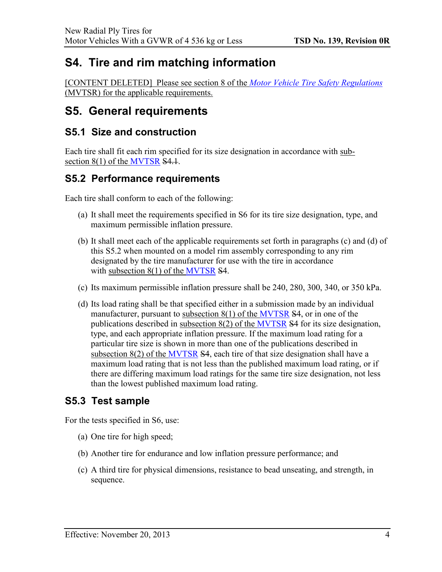## <span id="page-7-0"></span>**S4. Tire and rim matching information**

[CONTENT DELETED] Please see section 8 of the *[Motor Vehicle Tire Safety Regulations](http://laws.justice.gc.ca/eng/regulations/SOR-2013-198/)* (MVTSR) for the applicable requirements.

## <span id="page-7-1"></span>**S5. General requirements**

### <span id="page-7-2"></span>**S5.1 Size and construction**

Each tire shall fit each rim specified for its size designation in accordance with sub-section 8(1) of the [MVTSR](http://laws.justice.gc.ca/eng/regulations/SOR-2013-198/) S4.1.

### <span id="page-7-3"></span>**S5.2 Performance requirements**

Each tire shall conform to each of the following:

- (a) It shall meet the requirements specified in S6 for its tire size designation, type, and maximum permissible inflation pressure.
- (b) It shall meet each of the applicable requirements set forth in paragraphs (c) and (d) of this S5.2 when mounted on a model rim assembly corresponding to any rim designated by the tire manufacturer for use with the tire in accordance with subsection  $8(1)$  of the [MVTSR](http://laws.justice.gc.ca/eng/regulations/SOR-2013-198/)  $S4$ .
- (c) Its maximum permissible inflation pressure shall be 240, 280, 300, 340, or 350 kPa.
- (d) Its load rating shall be that specified either in a submission made by an individual manufacturer, pursuant to subsection  $8(1)$  of the [MVTSR](http://laws.justice.gc.ca/eng/regulations/SOR-2013-198/)  $$4$ , or in one of the publications described in subsection 8(2) of the [MVTSR](http://laws.justice.gc.ca/eng/regulations/SOR-2013-198/) S4 for its size designation, type, and each appropriate inflation pressure. If the maximum load rating for a particular tire size is shown in more than one of the publications described in subsection 8(2) of the [MVTSR](http://laws.justice.gc.ca/eng/regulations/SOR-2013-198/) S4, each tire of that size designation shall have a maximum load rating that is not less than the published maximum load rating, or if there are differing maximum load ratings for the same tire size designation, not less than the lowest published maximum load rating.

### <span id="page-7-4"></span>**S5.3 Test sample**

For the tests specified in S6, use:

- (a) One tire for high speed;
- (b) Another tire for endurance and low inflation pressure performance; and
- (c) A third tire for physical dimensions, resistance to bead unseating, and strength, in sequence.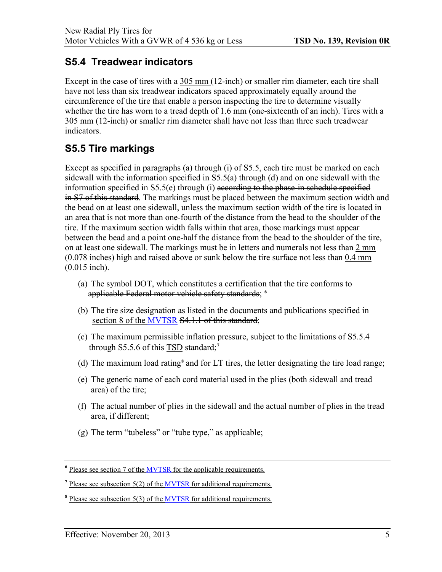### <span id="page-8-0"></span>**S5.4 Treadwear indicators**

Except in the case of tires with a 305 mm (12-inch) or smaller rim diameter, each tire shall have not less than six treadwear indicators spaced approximately equally around the circumference of the tire that enable a person inspecting the tire to determine visually whether the tire has worn to a tread depth of 1.6 mm (one-sixteenth of an inch). Tires with a 305 mm (12-inch) or smaller rim diameter shall have not less than three such treadwear indicators.

## <span id="page-8-1"></span>**S5.5 Tire markings**

Except as specified in paragraphs (a) through (i) of S5.5, each tire must be marked on each sidewall with the information specified in S5.5(a) through (d) and on one sidewall with the information specified in  $S5.5(e)$  through (i) according to the phase-in schedule specified in S7 of this standard. The markings must be placed between the maximum section width and the bead on at least one sidewall, unless the maximum section width of the tire is located in an area that is not more than one-fourth of the distance from the bead to the shoulder of the tire. If the maximum section width falls within that area, those markings must appear between the bead and a point one-half the distance from the bead to the shoulder of the tire, on at least one sidewall. The markings must be in letters and numerals not less than 2 mm (0.078 inches) high and raised above or sunk below the tire surface not less than 0.4 mm (0.015 inch).

- (a) The symbol DOT, which constitutes a certification that the tire conforms to applicable Federal motor vehicle safety standards; **<sup>6</sup>**
- (b) The tire size designation as listed in the documents and publications specified in section 8 of th[e MVTSR](http://laws.justice.gc.ca/eng/regulations/SOR-2013-198/) S4.1.1 of this standard;
- (c) The maximum permissible inflation pressure, subject to the limitations of S5.5.4 through S5.5.6 of this TSD standard;**[7](#page-8-2)**
- (d) The maximum load rating**[8](#page-8-3)** and for LT tires, the letter designating the tire load range;
- (e) The generic name of each cord material used in the plies (both sidewall and tread area) of the tire;
- (f) The actual number of plies in the sidewall and the actual number of plies in the tread area, if different;
- (g) The term "tubeless" or "tube type," as applicable;

**<sup>6</sup>** Please see section 7 of the [MVTSR](http://laws.justice.gc.ca/eng/regulations/SOR-2013-198/) for the applicable requirements.

<span id="page-8-2"></span>**<sup>7</sup>** Please see subsection 5(2) of the [MVTSR](http://laws.justice.gc.ca/eng/regulations/SOR-2013-198/) for additional requirements.

<span id="page-8-3"></span>**<sup>8</sup>** Please see subsection 5(3) of the [MVTSR](http://laws.justice.gc.ca/eng/regulations/SOR-2013-198/) for additional requirements.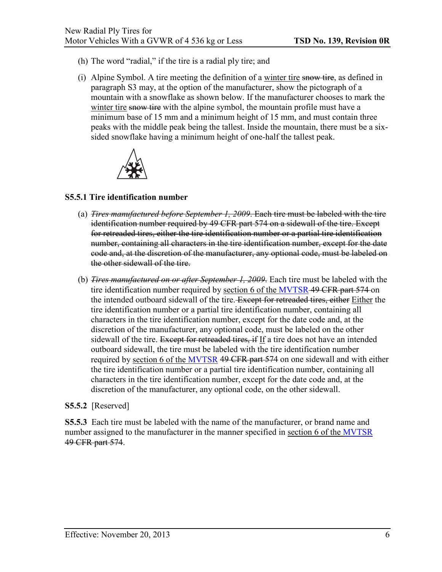- (h) The word "radial," if the tire is a radial ply tire; and
- (i) Alpine Symbol. A tire meeting the definition of a winter tire snow tire, as defined in paragraph S3 may, at the option of the manufacturer, show the pictograph of a mountain with a snowflake as shown below. If the manufacturer chooses to mark the winter tire snow tire with the alpine symbol, the mountain profile must have a minimum base of 15 mm and a minimum height of 15 mm, and must contain three peaks with the middle peak being the tallest. Inside the mountain, there must be a sixsided snowflake having a minimum height of one-half the tallest peak.



#### **S5.5.1 Tire identification number**

- (a) *Tires manufactured before September 1, 2009*. Each tire must be labeled with the tire identification number required by 49 CFR part 574 on a sidewall of the tire. Except for retreaded tires, either the tire identification number or a partial tire identification number, containing all characters in the tire identification number, except for the date code and, at the discretion of the manufacturer, any optional code, must be labeled on the other sidewall of the tire.
- (b) *Tires manufactured on or after September 1, 2009*. Each tire must be labeled with the tire identification number required by section 6 of the [MVTSR](http://laws.justice.gc.ca/eng/regulations/SOR-2013-198/) 49 CFR part 574 on the intended outboard sidewall of the tire. Except for retreaded tires, either Either the tire identification number or a partial tire identification number, containing all characters in the tire identification number, except for the date code and, at the discretion of the manufacturer, any optional code, must be labeled on the other sidewall of the tire. Except for retreaded tires, if If a tire does not have an intended outboard sidewall, the tire must be labeled with the tire identification number required by section 6 of the [MVTSR](http://laws.justice.gc.ca/eng/regulations/SOR-2013-198/) 49 CFR part 574 on one sidewall and with either the tire identification number or a partial tire identification number, containing all characters in the tire identification number, except for the date code and, at the discretion of the manufacturer, any optional code, on the other sidewall.

#### **S5.5.2** [Reserved]

**S5.5.3** Each tire must be labeled with the name of the manufacturer, or brand name and number assigned to the manufacturer in the manner specified in section 6 of the [MVTSR](http://laws.justice.gc.ca/eng/regulations/SOR-2013-198/) 49 CFR part 574.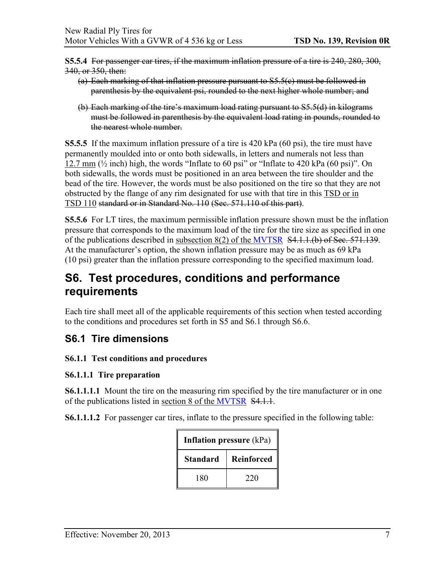**S5.5.4** For passenger car tires, if the maximum inflation pressure of a tire is 240, 280, 300, 340, or 350, then:

- (a) Each marking of that inflation pressure pursuant to S5.5(c) must be followed in parenthesis by the equivalent psi, rounded to the next higher whole number; and
- (b) Each marking of the tire's maximum load rating pursuant to S5.5(d) in kilograms must be followed in parenthesis by the equivalent load rating in pounds, rounded to the nearest whole number.

**S5.5.5** If the maximum inflation pressure of a tire is 420 kPa (60 psi), the tire must have permanently moulded into or onto both sidewalls, in letters and numerals not less than 12.7 mm  $(\frac{1}{2}$  inch) high, the words "Inflate to 60 psi" or "Inflate to 420 kPa (60 psi)". On both sidewalls, the words must be positioned in an area between the tire shoulder and the bead of the tire. However, the words must be also positioned on the tire so that they are not obstructed by the flange of any rim designated for use with that tire in this TSD or in TSD 110 standard or in Standard No. 110 (Sec. 571.110 of this part).

**S5.5.6** For LT tires, the maximum permissible inflation pressure shown must be the inflation pressure that corresponds to the maximum load of the tire for the tire size as specified in one of the publications described in subsection 8(2) of the [MVTSR](http://laws.justice.gc.ca/eng/regulations/SOR-2013-198/) S4.1.1.(b) of Sec. 571.139. At the manufacturer's option, the shown inflation pressure may be as much as 69 kPa (10 psi) greater than the inflation pressure corresponding to the specified maximum load.

## <span id="page-10-0"></span>**S6. Test procedures, conditions and performance requirements**

Each tire shall meet all of the applicable requirements of this section when tested according to the conditions and procedures set forth in S5 and S6.1 through S6.6.

### <span id="page-10-1"></span>**S6.1 Tire dimensions**

### **S6.1.1 Test conditions and procedures**

#### **S6.1.1.1 Tire preparation**

**S6.1.1.1.1** Mount the tire on the measuring rim specified by the tire manufacturer or in one of the publications listed in section 8 of the [MVTSR](http://laws.justice.gc.ca/eng/regulations/SOR-2013-198/) \$4.1.1.

**S6.1.1.1.2** For passenger car tires, inflate to the pressure specified in the following table:

| <b>Inflation pressure (kPa)</b> |            |
|---------------------------------|------------|
| <b>Standard</b>                 | Reinforced |
| 180                             | 220        |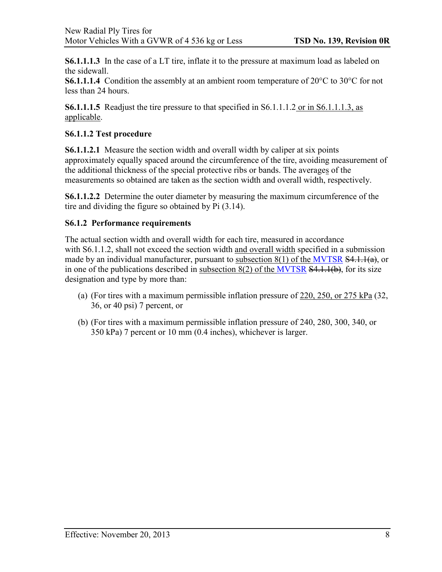**S6.1.1.1.3** In the case of a LT tire, inflate it to the pressure at maximum load as labeled on the sidewall.

**S6.1.1.1.4** Condition the assembly at an ambient room temperature of 20°C to 30°C for not less than 24 hours.

**S6.1.1.1.5** Readjust the tire pressure to that specified in S6.1.1.1.2 or in S6.1.1.1.3, as applicable.

#### **S6.1.1.2 Test procedure**

**S6.1.1.2.1** Measure the section width and overall width by caliper at six points approximately equally spaced around the circumference of the tire, avoiding measurement of the additional thickness of the special protective ribs or bands. The averages of the measurements so obtained are taken as the section width and overall width, respectively.

**S6.1.1.2.2** Determine the outer diameter by measuring the maximum circumference of the tire and dividing the figure so obtained by Pi (3.14).

#### **S6.1.2 Performance requirements**

The actual section width and overall width for each tire, measured in accordance with S6.1.1.2, shall not exceed the section width and overall width specified in a submission made by an individual manufacturer, pursuant to subsection 8(1) of the [MVTSR](http://laws.justice.gc.ca/eng/regulations/SOR-2013-198/) S4.1.1(a), or in one of the publications described in subsection  $8(2)$  of the [MVTSR](http://laws.justice.gc.ca/eng/regulations/SOR-2013-198/)  $\overline{S4,1,1(b)}$ , for its size designation and type by more than:

- (a) (For tires with a maximum permissible inflation pressure of 220, 250, or 275 kPa (32, 36, or 40 psi) 7 percent, or
- (b) (For tires with a maximum permissible inflation pressure of 240, 280, 300, 340, or 350 kPa) 7 percent or 10 mm (0.4 inches), whichever is larger.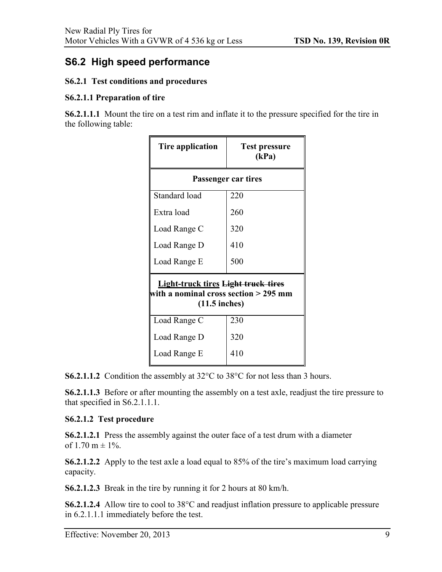### <span id="page-12-0"></span>**S6.2 High speed performance**

#### **S6.2.1 Test conditions and procedures**

#### **S6.2.1.1 Preparation of tire**

**S6.2.1.1.1** Mount the tire on a test rim and inflate it to the pressure specified for the tire in the following table:

| Tire application                                                                                       | <b>Test pressure</b><br>(kPa) |  |
|--------------------------------------------------------------------------------------------------------|-------------------------------|--|
| Passenger car tires                                                                                    |                               |  |
| Standard load                                                                                          | 220                           |  |
| Extra load                                                                                             | 260                           |  |
| Load Range C                                                                                           | 320                           |  |
| Load Range D                                                                                           | 410                           |  |
| Load Range E                                                                                           | 500                           |  |
| <b>Light-truck tires Light truck tires</b><br>with a nominal cross section > 295 mm<br>$(11.5$ inches) |                               |  |
| Load Range C                                                                                           | 230                           |  |
| Load Range D                                                                                           | 320                           |  |
| Load Range E                                                                                           | 410                           |  |

**S6.2.1.1.2** Condition the assembly at 32<sup>o</sup>C to 38<sup>o</sup>C for not less than 3 hours.

**S6.2.1.1.3** Before or after mounting the assembly on a test axle, readjust the tire pressure to that specified in S6.2.1.1.1.

#### **S6.2.1.2 Test procedure**

**S6.2.1.2.1** Press the assembly against the outer face of a test drum with a diameter of 1.70 m  $\pm$  1%.

**S6.2.1.2.2** Apply to the test axle a load equal to 85% of the tire's maximum load carrying capacity.

**S6.2.1.2.3** Break in the tire by running it for 2 hours at 80 km/h.

**S6.2.1.2.4** Allow tire to cool to 38°C and readjust inflation pressure to applicable pressure in 6.2.1.1.1 immediately before the test.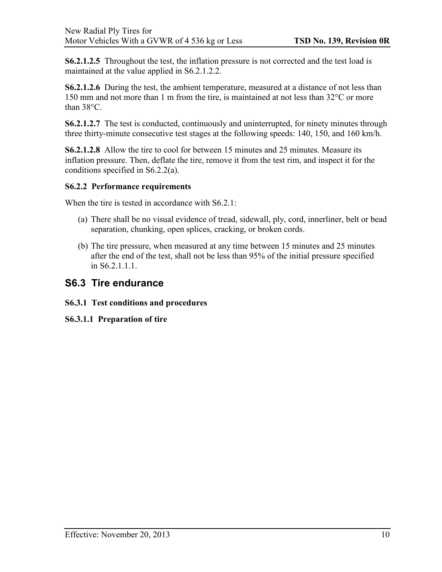**S6.2.1.2.5** Throughout the test, the inflation pressure is not corrected and the test load is maintained at the value applied in S6.2.1.2.2.

**S6.2.1.2.6** During the test, the ambient temperature, measured at a distance of not less than 150 mm and not more than 1 m from the tire, is maintained at not less than 32°C or more than 38°C.

**S6.2.1.2.7** The test is conducted, continuously and uninterrupted, for ninety minutes through three thirty-minute consecutive test stages at the following speeds: 140, 150, and 160 km/h.

**S6.2.1.2.8** Allow the tire to cool for between 15 minutes and 25 minutes. Measure its inflation pressure. Then, deflate the tire, remove it from the test rim, and inspect it for the conditions specified in S6.2.2(a).

#### **S6.2.2 Performance requirements**

When the tire is tested in accordance with S6.2.1:

- (a) There shall be no visual evidence of tread, sidewall, ply, cord, innerliner, belt or bead separation, chunking, open splices, cracking, or broken cords.
- (b) The tire pressure, when measured at any time between 15 minutes and 25 minutes after the end of the test, shall not be less than 95% of the initial pressure specified in S6.2.1.1.1.

### <span id="page-13-0"></span>**S6.3 Tire endurance**

#### **S6.3.1 Test conditions and procedures**

**S6.3.1.1 Preparation of tire**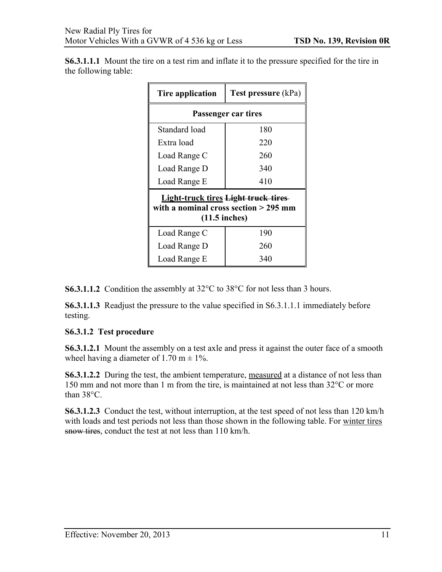**S6.3.1.1.1** Mount the tire on a test rim and inflate it to the pressure specified for the tire in the following table:

| Tire application                                                                                       | <b>Test pressure</b> (kPa) |  |
|--------------------------------------------------------------------------------------------------------|----------------------------|--|
| Passenger car tires                                                                                    |                            |  |
| Standard load                                                                                          | 180                        |  |
| Extra load                                                                                             | 220                        |  |
| Load Range C                                                                                           | 260                        |  |
| Load Range D                                                                                           | 340                        |  |
| Load Range E                                                                                           | 410                        |  |
| <b>Light-truck tires Light truck tires</b><br>with a nominal cross section > 295 mm<br>$(11.5$ inches) |                            |  |
| Load Range C                                                                                           | 190                        |  |
| Load Range D                                                                                           | 260                        |  |
| Load Range E                                                                                           | 340                        |  |

**S6.3.1.1.2** Condition the assembly at 32°C to 38°C for not less than 3 hours.

**S6.3.1.1.3** Readjust the pressure to the value specified in S6.3.1.1.1 immediately before testing.

#### **S6.3.1.2 Test procedure**

**S6.3.1.2.1** Mount the assembly on a test axle and press it against the outer face of a smooth wheel having a diameter of 1.70 m  $\pm$  1%.

**S6.3.1.2.2** During the test, the ambient temperature, measured at a distance of not less than 150 mm and not more than 1 m from the tire, is maintained at not less than 32°C or more than 38°C.

**S6.3.1.2.3** Conduct the test, without interruption, at the test speed of not less than 120 km/h with loads and test periods not less than those shown in the following table. For winter tires snow tires, conduct the test at not less than 110 km/h.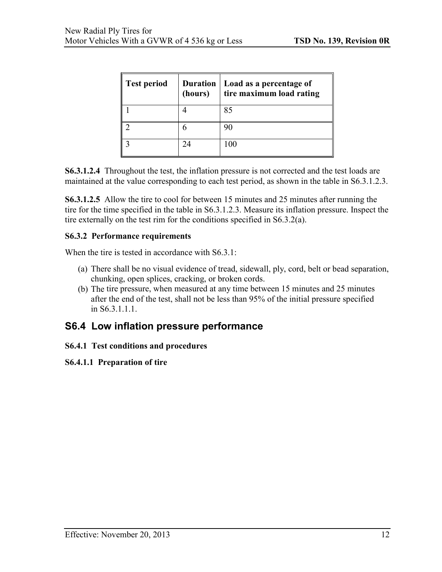| Test period | (hours) | Duration   Load as a percentage of<br>tire maximum load rating |
|-------------|---------|----------------------------------------------------------------|
|             |         | 85                                                             |
|             |         |                                                                |
|             | 24      | 100                                                            |

**S6.3.1.2.4** Throughout the test, the inflation pressure is not corrected and the test loads are maintained at the value corresponding to each test period, as shown in the table in S6.3.1.2.3.

**S6.3.1.2.5** Allow the tire to cool for between 15 minutes and 25 minutes after running the tire for the time specified in the table in S6.3.1.2.3. Measure its inflation pressure. Inspect the tire externally on the test rim for the conditions specified in S6.3.2(a).

#### **S6.3.2 Performance requirements**

When the tire is tested in accordance with S6.3.1:

- (a) There shall be no visual evidence of tread, sidewall, ply, cord, belt or bead separation, chunking, open splices, cracking, or broken cords.
- (b) The tire pressure, when measured at any time between 15 minutes and 25 minutes after the end of the test, shall not be less than 95% of the initial pressure specified in S6.3.1.1.1.

### <span id="page-15-0"></span>**S6.4 Low inflation pressure performance**

#### **S6.4.1 Test conditions and procedures**

#### **S6.4.1.1 Preparation of tire**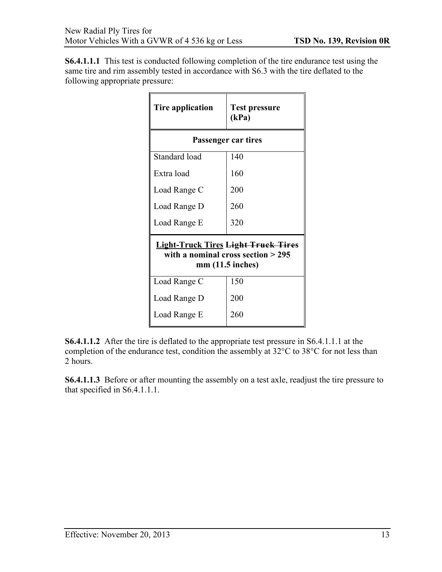**S6.4.1.1.1** This test is conducted following completion of the tire endurance test using the same tire and rim assembly tested in accordance with S6.3 with the tire deflated to the following appropriate pressure:

| Tire application                                                                                        | <b>Test pressure</b><br>(kPa) |  |
|---------------------------------------------------------------------------------------------------------|-------------------------------|--|
| Passenger car tires                                                                                     |                               |  |
| Standard load                                                                                           | 140                           |  |
| Extra load                                                                                              | 160                           |  |
| Load Range C                                                                                            | 200                           |  |
| Load Range D                                                                                            | 260                           |  |
| Load Range E                                                                                            | 320                           |  |
| <b>Light-Truck Tires Light Truck Tires</b><br>with a nominal cross section $>$ 295<br>$mm(11.5$ inches) |                               |  |
| Load Range C                                                                                            | 150                           |  |
| Load Range D                                                                                            | 200                           |  |
| Load Range E                                                                                            | 260                           |  |

**S6.4.1.1.2** After the tire is deflated to the appropriate test pressure in S6.4.1.1.1 at the completion of the endurance test, condition the assembly at 32°C to 38°C for not less than 2 hours.

**S6.4.1.1.3** Before or after mounting the assembly on a test axle, readjust the tire pressure to that specified in S6.4.1.1.1.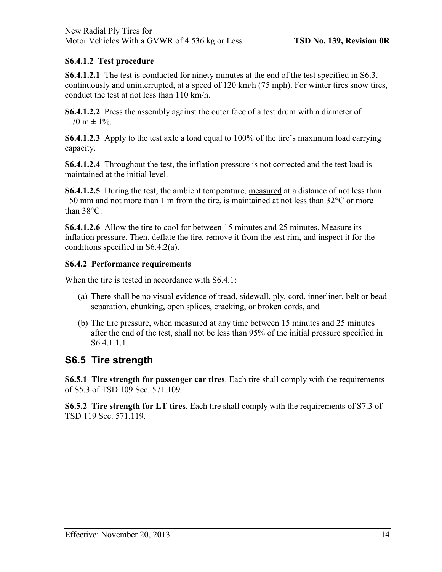### **S6.4.1.2 Test procedure**

**S6.4.1.2.1** The test is conducted for ninety minutes at the end of the test specified in S6.3, continuously and uninterrupted, at a speed of 120 km/h (75 mph). For winter tires snow tires, conduct the test at not less than 110 km/h.

**S6.4.1.2.2** Press the assembly against the outer face of a test drum with a diameter of  $1.70 \text{ m} \pm 1\%$ .

**S6.4.1.2.3** Apply to the test axle a load equal to 100% of the tire's maximum load carrying capacity.

**S6.4.1.2.4** Throughout the test, the inflation pressure is not corrected and the test load is maintained at the initial level.

**S6.4.1.2.5** During the test, the ambient temperature, measured at a distance of not less than 150 mm and not more than 1 m from the tire, is maintained at not less than 32°C or more than 38°C.

**S6.4.1.2.6** Allow the tire to cool for between 15 minutes and 25 minutes. Measure its inflation pressure. Then, deflate the tire, remove it from the test rim, and inspect it for the conditions specified in S6.4.2(a).

#### **S6.4.2 Performance requirements**

When the tire is tested in accordance with S6.4.1:

- (a) There shall be no visual evidence of tread, sidewall, ply, cord, innerliner, belt or bead separation, chunking, open splices, cracking, or broken cords, and
- (b) The tire pressure, when measured at any time between 15 minutes and 25 minutes after the end of the test, shall not be less than 95% of the initial pressure specified in S6.4.1.1.1.

### <span id="page-17-0"></span>**S6.5 Tire strength**

**S6.5.1 Tire strength for passenger car tires**. Each tire shall comply with the requirements of S5.3 of TSD 109 Sec. 571.109.

**S6.5.2 Tire strength for LT tires**. Each tire shall comply with the requirements of S7.3 of TSD 119 Sec. 571.119.